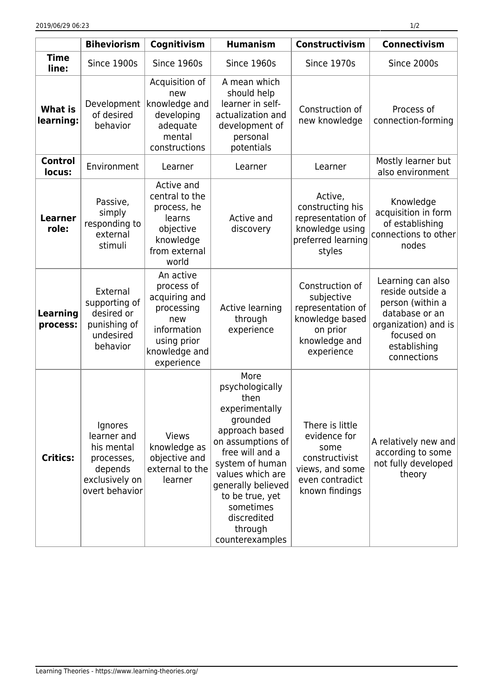|                             | <b>Biheviorism</b>                                                                                | Cognitivism                                                                                                                | <b>Humanism</b>                                                                                                                                                                                                                                                   | <b>Constructivism</b>                                                                                             | <b>Connectivism</b>                                                                                                                              |
|-----------------------------|---------------------------------------------------------------------------------------------------|----------------------------------------------------------------------------------------------------------------------------|-------------------------------------------------------------------------------------------------------------------------------------------------------------------------------------------------------------------------------------------------------------------|-------------------------------------------------------------------------------------------------------------------|--------------------------------------------------------------------------------------------------------------------------------------------------|
| <b>Time</b><br>line:        | Since 1900s                                                                                       | Since 1960s                                                                                                                | Since 1960s                                                                                                                                                                                                                                                       | Since 1970s                                                                                                       | Since 2000s                                                                                                                                      |
| <b>What is</b><br>learning: | Development<br>of desired<br>behavior                                                             | Acquisition of<br>new<br>knowledge and<br>developing<br>adequate<br>mental<br>constructions                                | A mean which<br>should help<br>learner in self-<br>actualization and<br>development of<br>personal<br>potentials                                                                                                                                                  | Construction of<br>new knowledge                                                                                  | Process of<br>connection-forming                                                                                                                 |
| <b>Control</b><br>locus:    | Environment                                                                                       | Learner                                                                                                                    | Learner                                                                                                                                                                                                                                                           | Learner                                                                                                           | Mostly learner but<br>also environment                                                                                                           |
| <b>Learner</b><br>role:     | Passive,<br>simply<br>responding to<br>external<br>stimuli                                        | Active and<br>central to the<br>process, he<br>learns<br>objective<br>knowledge<br>from external<br>world                  | Active and<br>discovery                                                                                                                                                                                                                                           | Active,<br>constructing his<br>representation of<br>knowledge using<br>preferred learning<br>styles               | Knowledge<br>acquisition in form<br>of establishing<br>connections to other<br>nodes                                                             |
| Learning<br>process:        | External<br>supporting of<br>desired or<br>punishing of<br>undesired<br>behavior                  | An active<br>process of<br>acquiring and<br>processing<br>new<br>information<br>using prior<br>knowledge and<br>experience | Active learning<br>through<br>experience                                                                                                                                                                                                                          | Construction of<br>subjective<br>representation of<br>knowledge based<br>on prior<br>knowledge and<br>experience  | Learning can also<br>reside outside a<br>person (within a<br>database or an<br>organization) and is<br>focused on<br>establishing<br>connections |
| <b>Critics:</b>             | Ignores<br>learner and<br>his mental<br>processes,<br>depends<br>exclusively on<br>overt behavior | <b>Views</b><br>knowledge as<br>objective and<br>external to the<br>learner                                                | More<br>psychologically<br>then<br>experimentally<br>grounded<br>approach based<br>on assumptions of<br>free will and a<br>system of human<br>values which are<br>generally believed<br>to be true, yet<br>sometimes<br>discredited<br>through<br>counterexamples | There is little<br>evidence for<br>some<br>constructivist<br>views, and some<br>even contradict<br>known findings | A relatively new and<br>according to some<br>not fully developed<br>theory                                                                       |